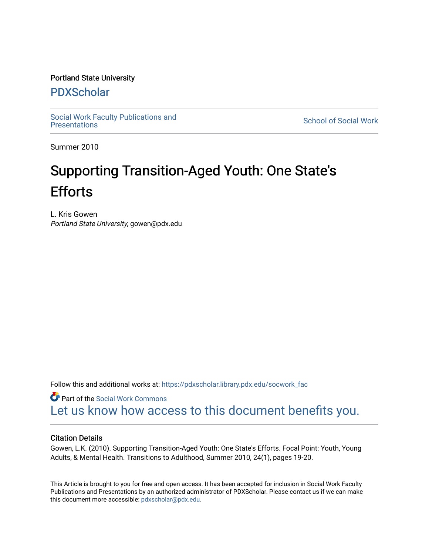### Portland State University

### [PDXScholar](https://pdxscholar.library.pdx.edu/)

Social Work Faculty Publications and<br>Presentations

**School of Social Work** 

Summer 2010

# Supporting Transition-Aged Youth: One State's **Efforts**

L. Kris Gowen Portland State University, gowen@pdx.edu

Follow this and additional works at: [https://pdxscholar.library.pdx.edu/socwork\\_fac](https://pdxscholar.library.pdx.edu/socwork_fac?utm_source=pdxscholar.library.pdx.edu%2Fsocwork_fac%2F110&utm_medium=PDF&utm_campaign=PDFCoverPages) 

**C** Part of the [Social Work Commons](http://network.bepress.com/hgg/discipline/713?utm_source=pdxscholar.library.pdx.edu%2Fsocwork_fac%2F110&utm_medium=PDF&utm_campaign=PDFCoverPages) [Let us know how access to this document benefits you.](http://library.pdx.edu/services/pdxscholar-services/pdxscholar-feedback/?ref=https://pdxscholar.library.pdx.edu/socwork_fac/110) 

### Citation Details

Gowen, L.K. (2010). Supporting Transition-Aged Youth: One State's Efforts. Focal Point: Youth, Young Adults, & Mental Health. Transitions to Adulthood, Summer 2010, 24(1), pages 19-20.

This Article is brought to you for free and open access. It has been accepted for inclusion in Social Work Faculty Publications and Presentations by an authorized administrator of PDXScholar. Please contact us if we can make this document more accessible: [pdxscholar@pdx.edu.](mailto:pdxscholar@pdx.edu)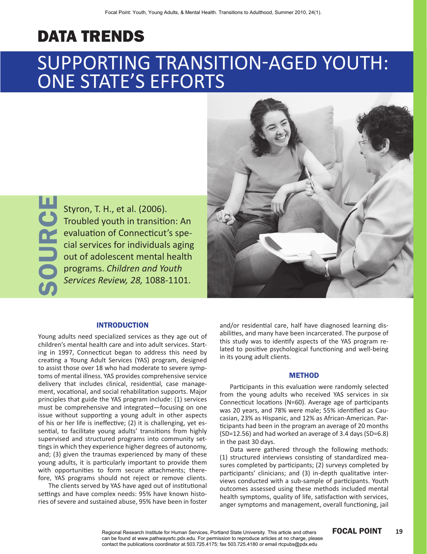## data trends

# Supporting Transition-aged Youth: ONE STATE'S EFFORTS

Source

Styron, T. H., et al. (2006). Troubled youth in transition: An evaluation of Connecticut's special services for individuals aging out of adolescent mental health programs. *Children and Youth Services Review, 28,* 1088-1101.



#### **INTRODUCTION**

Young adults need specialized services as they age out of children's mental health care and into adult services. Starting in 1997, Connecticut began to address this need by creating a Young Adult Services (YAS) program, designed to assist those over 18 who had moderate to severe symptoms of mental illness. YAS provides comprehensive service delivery that includes clinical, residential, case management, vocational, and social rehabilitation supports. Major principles that guide the YAS program include: (1) services must be comprehensive and integrated—focusing on one issue without supporting a young adult in other aspects of his or her life is ineffective; (2) it is challenging, yet essential, to facilitate young adults' transitions from highly supervised and structured programs into community settings in which they experience higher degrees of autonomy, and; (3) given the traumas experienced by many of these young adults, it is particularly important to provide them with opportunities to form secure attachments; therefore, YAS programs should not reject or remove clients.

The clients served by YAS have aged out of institutional settings and have complex needs: 95% have known histories of severe and sustained abuse, 95% have been in foster and/or residential care, half have diagnosed learning disabilities, and many have been incarcerated. The purpose of this study was to identify aspects of the YAS program related to positive psychological functioning and well-being in its young adult clients.

#### **METHOD**

Participants in this evaluation were randomly selected from the young adults who received YAS services in six Connecticut locations (N=60). Average age of participants was 20 years, and 78% were male; 55% identified as Caucasian, 23% as Hispanic, and 12% as African-American. Participants had been in the program an average of 20 months (SD=12.56) and had worked an average of 3.4 days (SD=6.8) in the past 30 days.

Data were gathered through the following methods: (1) structured interviews consisting of standardized measures completed by participants; (2) surveys completed by participants' clinicians; and (3) in-depth qualitative interviews conducted with a sub-sample of participants. Youth outcomes assessed using these methods included mental health symptoms, quality of life, satisfaction with services, anger symptoms and management, overall functioning, jail